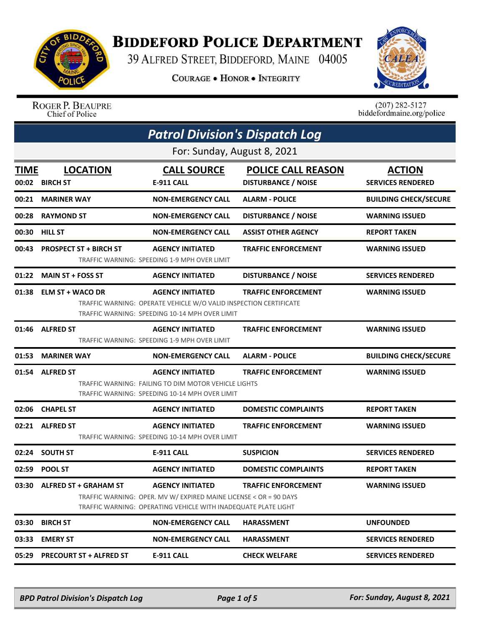

## **BIDDEFORD POLICE DEPARTMENT**

39 ALFRED STREET, BIDDEFORD, MAINE 04005

**COURAGE . HONOR . INTEGRITY** 



## ROGER P. BEAUPRE<br>Chief of Police

 $(207)$  282-5127<br>biddefordmaine.org/police

| <b>Patrol Division's Dispatch Log</b> |                                   |                                                                                                                                                                |                                                         |                                           |  |  |
|---------------------------------------|-----------------------------------|----------------------------------------------------------------------------------------------------------------------------------------------------------------|---------------------------------------------------------|-------------------------------------------|--|--|
|                                       | For: Sunday, August 8, 2021       |                                                                                                                                                                |                                                         |                                           |  |  |
| <b>TIME</b>                           | <b>LOCATION</b><br>00:02 BIRCH ST | <b>CALL SOURCE</b><br>E-911 CALL                                                                                                                               | <b>POLICE CALL REASON</b><br><b>DISTURBANCE / NOISE</b> | <b>ACTION</b><br><b>SERVICES RENDERED</b> |  |  |
| 00:21                                 | <b>MARINER WAY</b>                | <b>NON-EMERGENCY CALL</b>                                                                                                                                      | <b>ALARM - POLICE</b>                                   | <b>BUILDING CHECK/SECURE</b>              |  |  |
| 00:28                                 | <b>RAYMOND ST</b>                 | <b>NON-EMERGENCY CALL</b>                                                                                                                                      | <b>DISTURBANCE / NOISE</b>                              | <b>WARNING ISSUED</b>                     |  |  |
| 00:30                                 | <b>HILL ST</b>                    | <b>NON-EMERGENCY CALL</b>                                                                                                                                      | ASSIST OTHER AGENCY                                     | <b>REPORT TAKEN</b>                       |  |  |
| 00:43                                 | <b>PROSPECT ST + BIRCH ST</b>     | <b>AGENCY INITIATED</b><br>TRAFFIC WARNING: SPEEDING 1-9 MPH OVER LIMIT                                                                                        | <b>TRAFFIC ENFORCEMENT</b>                              | <b>WARNING ISSUED</b>                     |  |  |
| 01:22                                 | <b>MAIN ST + FOSS ST</b>          | <b>AGENCY INITIATED</b>                                                                                                                                        | <b>DISTURBANCE / NOISE</b>                              | <b>SERVICES RENDERED</b>                  |  |  |
| 01:38                                 | <b>ELM ST + WACO DR</b>           | <b>AGENCY INITIATED</b><br>TRAFFIC WARNING: OPERATE VEHICLE W/O VALID INSPECTION CERTIFICATE<br>TRAFFIC WARNING: SPEEDING 10-14 MPH OVER LIMIT                 | <b>TRAFFIC ENFORCEMENT</b>                              | <b>WARNING ISSUED</b>                     |  |  |
| 01:46                                 | <b>ALFRED ST</b>                  | <b>AGENCY INITIATED</b><br>TRAFFIC WARNING: SPEEDING 1-9 MPH OVER LIMIT                                                                                        | <b>TRAFFIC ENFORCEMENT</b>                              | <b>WARNING ISSUED</b>                     |  |  |
| 01:53                                 | <b>MARINER WAY</b>                | <b>NON-EMERGENCY CALL</b>                                                                                                                                      | <b>ALARM - POLICE</b>                                   | <b>BUILDING CHECK/SECURE</b>              |  |  |
| 01:54                                 | <b>ALFRED ST</b>                  | <b>AGENCY INITIATED</b><br>TRAFFIC WARNING: FAILING TO DIM MOTOR VEHICLE LIGHTS<br>TRAFFIC WARNING: SPEEDING 10-14 MPH OVER LIMIT                              | <b>TRAFFIC ENFORCEMENT</b>                              | <b>WARNING ISSUED</b>                     |  |  |
| 02:06                                 | <b>CHAPEL ST</b>                  | <b>AGENCY INITIATED</b>                                                                                                                                        | <b>DOMESTIC COMPLAINTS</b>                              | <b>REPORT TAKEN</b>                       |  |  |
|                                       | 02:21 ALFRED ST                   | <b>AGENCY INITIATED</b><br>TRAFFIC WARNING: SPEEDING 10-14 MPH OVER LIMIT                                                                                      | <b>TRAFFIC ENFORCEMENT</b>                              | <b>WARNING ISSUED</b>                     |  |  |
| 02:24                                 | <b>SOUTH ST</b>                   | <b>E-911 CALL</b>                                                                                                                                              | <b>SUSPICION</b>                                        | <b>SERVICES RENDERED</b>                  |  |  |
| 02:59                                 | <b>POOL ST</b>                    | <b>AGENCY INITIATED</b>                                                                                                                                        | <b>DOMESTIC COMPLAINTS</b>                              | <b>REPORT TAKEN</b>                       |  |  |
|                                       | 03:30 ALFRED ST + GRAHAM ST       | <b>AGENCY INITIATED</b><br>TRAFFIC WARNING: OPER. MV W/ EXPIRED MAINE LICENSE < OR = 90 DAYS<br>TRAFFIC WARNING: OPERATING VEHICLE WITH INADEQUATE PLATE LIGHT | <b>TRAFFIC ENFORCEMENT</b>                              | <b>WARNING ISSUED</b>                     |  |  |
| 03:30                                 | <b>BIRCH ST</b>                   | <b>NON-EMERGENCY CALL</b>                                                                                                                                      | <b>HARASSMENT</b>                                       | <b>UNFOUNDED</b>                          |  |  |
| 03:33                                 | <b>EMERY ST</b>                   | <b>NON-EMERGENCY CALL</b>                                                                                                                                      | <b>HARASSMENT</b>                                       | <b>SERVICES RENDERED</b>                  |  |  |
| 05:29                                 | <b>PRECOURT ST + ALFRED ST</b>    | E-911 CALL                                                                                                                                                     | <b>CHECK WELFARE</b>                                    | <b>SERVICES RENDERED</b>                  |  |  |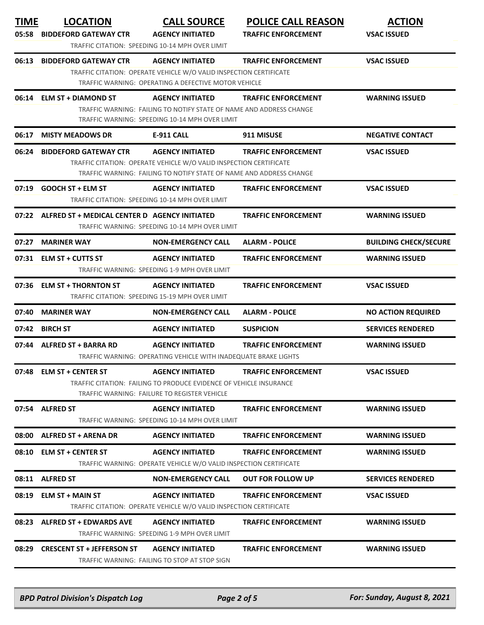| <b>TIME</b><br>05:58 | <b>LOCATION</b><br><b>BIDDEFORD GATEWAY CTR</b>     | <b>CALL SOURCE</b><br><b>AGENCY INITIATED</b>                                                                                                                        | <b>POLICE CALL REASON</b><br><b>TRAFFIC ENFORCEMENT</b> | <b>ACTION</b><br><b>VSAC ISSUED</b> |
|----------------------|-----------------------------------------------------|----------------------------------------------------------------------------------------------------------------------------------------------------------------------|---------------------------------------------------------|-------------------------------------|
|                      |                                                     | TRAFFIC CITATION: SPEEDING 10-14 MPH OVER LIMIT                                                                                                                      |                                                         |                                     |
| 06:13                | <b>BIDDEFORD GATEWAY CTR</b>                        | <b>AGENCY INITIATED</b><br>TRAFFIC CITATION: OPERATE VEHICLE W/O VALID INSPECTION CERTIFICATE<br>TRAFFIC WARNING: OPERATING A DEFECTIVE MOTOR VEHICLE                | <b>TRAFFIC ENFORCEMENT</b>                              | <b>VSAC ISSUED</b>                  |
|                      | 06:14 ELM ST + DIAMOND ST                           | <b>AGENCY INITIATED</b><br>TRAFFIC WARNING: FAILING TO NOTIFY STATE OF NAME AND ADDRESS CHANGE<br>TRAFFIC WARNING: SPEEDING 10-14 MPH OVER LIMIT                     | <b>TRAFFIC ENFORCEMENT</b>                              | <b>WARNING ISSUED</b>               |
| 06:17                | <b>MISTY MEADOWS DR</b>                             | <b>E-911 CALL</b>                                                                                                                                                    | 911 MISUSE                                              | <b>NEGATIVE CONTACT</b>             |
| 06:24                | <b>BIDDEFORD GATEWAY CTR</b>                        | <b>AGENCY INITIATED</b><br>TRAFFIC CITATION: OPERATE VEHICLE W/O VALID INSPECTION CERTIFICATE<br>TRAFFIC WARNING: FAILING TO NOTIFY STATE OF NAME AND ADDRESS CHANGE | <b>TRAFFIC ENFORCEMENT</b>                              | <b>VSAC ISSUED</b>                  |
|                      | 07:19 GOOCH ST + ELM ST                             | <b>AGENCY INITIATED</b><br>TRAFFIC CITATION: SPEEDING 10-14 MPH OVER LIMIT                                                                                           | <b>TRAFFIC ENFORCEMENT</b>                              | <b>VSAC ISSUED</b>                  |
|                      | 07:22 ALFRED ST + MEDICAL CENTER D AGENCY INITIATED | TRAFFIC WARNING: SPEEDING 10-14 MPH OVER LIMIT                                                                                                                       | <b>TRAFFIC ENFORCEMENT</b>                              | <b>WARNING ISSUED</b>               |
| 07:27                | <b>MARINER WAY</b>                                  | <b>NON-EMERGENCY CALL</b>                                                                                                                                            | <b>ALARM - POLICE</b>                                   | <b>BUILDING CHECK/SECURE</b>        |
|                      | 07:31 ELM ST + CUTTS ST                             | <b>AGENCY INITIATED</b><br>TRAFFIC WARNING: SPEEDING 1-9 MPH OVER LIMIT                                                                                              | <b>TRAFFIC ENFORCEMENT</b>                              | <b>WARNING ISSUED</b>               |
|                      | 07:36 ELM ST + THORNTON ST                          | <b>AGENCY INITIATED</b><br>TRAFFIC CITATION: SPEEDING 15-19 MPH OVER LIMIT                                                                                           | <b>TRAFFIC ENFORCEMENT</b>                              | <b>VSAC ISSUED</b>                  |
| 07:40                | <b>MARINER WAY</b>                                  | <b>NON-EMERGENCY CALL</b>                                                                                                                                            | <b>ALARM - POLICE</b>                                   | <b>NO ACTION REQUIRED</b>           |
| 07:42                | <b>BIRCH ST</b>                                     | <b>AGENCY INITIATED</b>                                                                                                                                              | <b>SUSPICION</b>                                        | <b>SERVICES RENDERED</b>            |
|                      | 07:44 ALFRED ST + BARRA RD                          | <b>AGENCY INITIATED</b><br>TRAFFIC WARNING: OPERATING VEHICLE WITH INADEQUATE BRAKE LIGHTS                                                                           | <b>TRAFFIC ENFORCEMENT</b>                              | <b>WARNING ISSUED</b>               |
|                      | 07:48 ELM ST + CENTER ST                            | <b>AGENCY INITIATED</b><br>TRAFFIC CITATION: FAILING TO PRODUCE EVIDENCE OF VEHICLE INSURANCE<br>TRAFFIC WARNING: FAILURE TO REGISTER VEHICLE                        | <b>TRAFFIC ENFORCEMENT</b>                              | <b>VSAC ISSUED</b>                  |
|                      | 07:54 ALFRED ST                                     | <b>AGENCY INITIATED</b><br>TRAFFIC WARNING: SPEEDING 10-14 MPH OVER LIMIT                                                                                            | <b>TRAFFIC ENFORCEMENT</b>                              | <b>WARNING ISSUED</b>               |
|                      | 08:00 ALFRED ST + ARENA DR                          | <b>AGENCY INITIATED</b>                                                                                                                                              | <b>TRAFFIC ENFORCEMENT</b>                              | <b>WARNING ISSUED</b>               |
|                      | 08:10 ELM ST + CENTER ST                            | <b>AGENCY INITIATED</b><br>TRAFFIC WARNING: OPERATE VEHICLE W/O VALID INSPECTION CERTIFICATE                                                                         | <b>TRAFFIC ENFORCEMENT</b>                              | <b>WARNING ISSUED</b>               |
|                      | 08:11 ALFRED ST                                     | <b>NON-EMERGENCY CALL</b>                                                                                                                                            | <b>OUT FOR FOLLOW UP</b>                                | <b>SERVICES RENDERED</b>            |
|                      | 08:19 ELM ST + MAIN ST                              | <b>AGENCY INITIATED</b><br>TRAFFIC CITATION: OPERATE VEHICLE W/O VALID INSPECTION CERTIFICATE                                                                        | <b>TRAFFIC ENFORCEMENT</b>                              | <b>VSAC ISSUED</b>                  |
|                      | 08:23 ALFRED ST + EDWARDS AVE                       | <b>AGENCY INITIATED</b><br>TRAFFIC WARNING: SPEEDING 1-9 MPH OVER LIMIT                                                                                              | <b>TRAFFIC ENFORCEMENT</b>                              | <b>WARNING ISSUED</b>               |
|                      | 08:29 CRESCENT ST + JEFFERSON ST                    | <b>AGENCY INITIATED</b>                                                                                                                                              | <b>TRAFFIC ENFORCEMENT</b>                              | <b>WARNING ISSUED</b>               |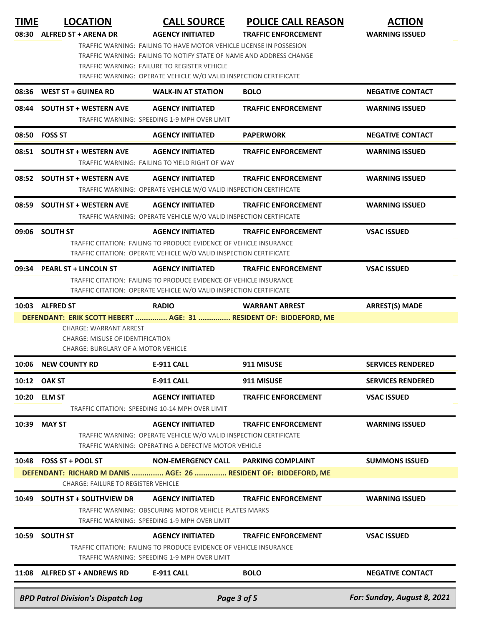| TIME  | <b>LOCATION</b><br>08:30 ALFRED ST + ARENA DR                                                                                    | <b>CALL SOURCE</b><br><b>AGENCY INITIATED</b><br>TRAFFIC WARNING: FAILING TO HAVE MOTOR VEHICLE LICENSE IN POSSESION<br>TRAFFIC WARNING: FAILING TO NOTIFY STATE OF NAME AND ADDRESS CHANGE | <b>POLICE CALL REASON</b><br><b>TRAFFIC ENFORCEMENT</b> | <b>ACTION</b><br><b>WARNING ISSUED</b> |
|-------|----------------------------------------------------------------------------------------------------------------------------------|---------------------------------------------------------------------------------------------------------------------------------------------------------------------------------------------|---------------------------------------------------------|----------------------------------------|
|       |                                                                                                                                  | TRAFFIC WARNING: FAILURE TO REGISTER VEHICLE<br>TRAFFIC WARNING: OPERATE VEHICLE W/O VALID INSPECTION CERTIFICATE                                                                           |                                                         |                                        |
| 08:36 | <b>WEST ST + GUINEA RD</b>                                                                                                       | <b>WALK-IN AT STATION</b>                                                                                                                                                                   | <b>BOLO</b>                                             | <b>NEGATIVE CONTACT</b>                |
| 08:44 | <b>SOUTH ST + WESTERN AVE</b>                                                                                                    | <b>AGENCY INITIATED</b><br>TRAFFIC WARNING: SPEEDING 1-9 MPH OVER LIMIT                                                                                                                     | <b>TRAFFIC ENFORCEMENT</b>                              | <b>WARNING ISSUED</b>                  |
| 08:50 | <b>FOSS ST</b>                                                                                                                   | <b>AGENCY INITIATED</b>                                                                                                                                                                     | <b>PAPERWORK</b>                                        | <b>NEGATIVE CONTACT</b>                |
|       | 08:51 SOUTH ST + WESTERN AVE                                                                                                     | <b>AGENCY INITIATED</b><br>TRAFFIC WARNING: FAILING TO YIELD RIGHT OF WAY                                                                                                                   | <b>TRAFFIC ENFORCEMENT</b>                              | <b>WARNING ISSUED</b>                  |
|       | 08:52 SOUTH ST + WESTERN AVE                                                                                                     | <b>AGENCY INITIATED</b>                                                                                                                                                                     | <b>TRAFFIC ENFORCEMENT</b>                              | <b>WARNING ISSUED</b>                  |
|       |                                                                                                                                  | TRAFFIC WARNING: OPERATE VEHICLE W/O VALID INSPECTION CERTIFICATE                                                                                                                           |                                                         |                                        |
| 08:59 | <b>SOUTH ST + WESTERN AVE</b>                                                                                                    | <b>AGENCY INITIATED</b><br>TRAFFIC WARNING: OPERATE VEHICLE W/O VALID INSPECTION CERTIFICATE                                                                                                | <b>TRAFFIC ENFORCEMENT</b>                              | <b>WARNING ISSUED</b>                  |
|       | 09:06 SOUTH ST                                                                                                                   | <b>AGENCY INITIATED</b><br>TRAFFIC CITATION: FAILING TO PRODUCE EVIDENCE OF VEHICLE INSURANCE<br>TRAFFIC CITATION: OPERATE VEHICLE W/O VALID INSPECTION CERTIFICATE                         | <b>TRAFFIC ENFORCEMENT</b>                              | <b>VSAC ISSUED</b>                     |
| 09:34 | <b>PEARL ST + LINCOLN ST</b>                                                                                                     | <b>AGENCY INITIATED</b><br>TRAFFIC CITATION: FAILING TO PRODUCE EVIDENCE OF VEHICLE INSURANCE<br>TRAFFIC CITATION: OPERATE VEHICLE W/O VALID INSPECTION CERTIFICATE                         | <b>TRAFFIC ENFORCEMENT</b>                              | <b>VSAC ISSUED</b>                     |
|       | 10:03 ALFRED ST                                                                                                                  | <b>RADIO</b>                                                                                                                                                                                | <b>WARRANT ARREST</b>                                   | <b>ARREST(S) MADE</b>                  |
| 10:06 | <b>CHARGE: WARRANT ARREST</b><br>CHARGE: MISUSE OF IDENTIFICATION<br>CHARGE: BURGLARY OF A MOTOR VEHICLE<br><b>NEW COUNTY RD</b> | <b>E-911 CALL</b>                                                                                                                                                                           | 911 MISUSE                                              | <b>SERVICES RENDERED</b>               |
|       | 10:12 OAK ST                                                                                                                     | <b>E-911 CALL</b>                                                                                                                                                                           | 911 MISUSE                                              | <b>SERVICES RENDERED</b>               |
|       | 10:20 ELM ST                                                                                                                     | <b>AGENCY INITIATED</b><br>TRAFFIC CITATION: SPEEDING 10-14 MPH OVER LIMIT                                                                                                                  | <b>TRAFFIC ENFORCEMENT</b>                              | <b>VSAC ISSUED</b>                     |
|       | 10:39 MAY ST                                                                                                                     | <b>AGENCY INITIATED</b><br>TRAFFIC WARNING: OPERATE VEHICLE W/O VALID INSPECTION CERTIFICATE<br>TRAFFIC WARNING: OPERATING A DEFECTIVE MOTOR VEHICLE                                        | <b>TRAFFIC ENFORCEMENT</b>                              | <b>WARNING ISSUED</b>                  |
|       | 10:48 FOSS ST + POOL ST                                                                                                          | <b>NON-EMERGENCY CALL</b>                                                                                                                                                                   | <b>PARKING COMPLAINT</b>                                | <b>SUMMONS ISSUED</b>                  |
|       | DEFENDANT: RICHARD M DANIS  AGE: 26  RESIDENT OF: BIDDEFORD, ME<br><b>CHARGE: FAILURE TO REGISTER VEHICLE</b>                    |                                                                                                                                                                                             |                                                         |                                        |
| 10:49 | <b>SOUTH ST + SOUTHVIEW DR</b>                                                                                                   | <b>AGENCY INITIATED</b><br>TRAFFIC WARNING: OBSCURING MOTOR VEHICLE PLATES MARKS<br>TRAFFIC WARNING: SPEEDING 1-9 MPH OVER LIMIT                                                            | <b>TRAFFIC ENFORCEMENT</b>                              | <b>WARNING ISSUED</b>                  |
| 10:59 | <b>SOUTH ST</b>                                                                                                                  | <b>AGENCY INITIATED</b><br>TRAFFIC CITATION: FAILING TO PRODUCE EVIDENCE OF VEHICLE INSURANCE<br>TRAFFIC WARNING: SPEEDING 1-9 MPH OVER LIMIT                                               | <b>TRAFFIC ENFORCEMENT</b>                              | <b>VSAC ISSUED</b>                     |
|       | 11:08 ALFRED ST + ANDREWS RD                                                                                                     | <b>E-911 CALL</b>                                                                                                                                                                           | <b>BOLO</b>                                             | <b>NEGATIVE CONTACT</b>                |
|       | <b>BPD Patrol Division's Dispatch Log</b>                                                                                        |                                                                                                                                                                                             | Page 3 of 5                                             | For: Sunday, August 8, 2021            |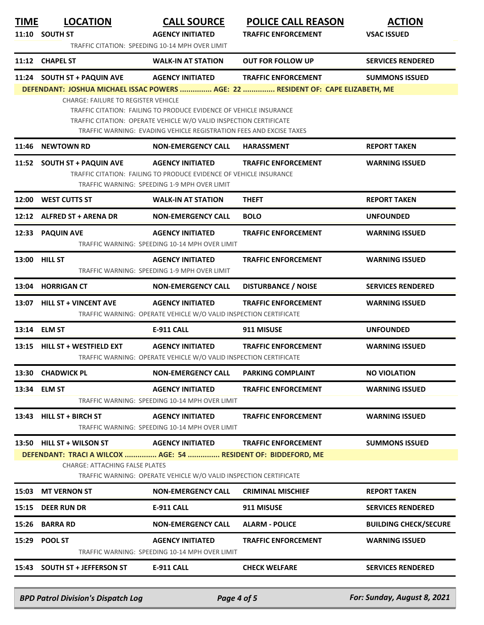| <b>BPD Patrol Division's Dispatch Log</b> |  |
|-------------------------------------------|--|

| Page 4 of ! |  |  |
|-------------|--|--|
|             |  |  |

*BPD Patrol Division's Dispatch Log Page 4 of 5 For: Sunday, August 8, 2021*

|       | 11:12 CHAPEL ST                                                                                         | <b>WALK-IN AT STATION</b>                                                                                                                                                                                       | <b>OUT FOR FOLLOW UP</b>                                                         | <b>SERVICES RENDERED</b>     |
|-------|---------------------------------------------------------------------------------------------------------|-----------------------------------------------------------------------------------------------------------------------------------------------------------------------------------------------------------------|----------------------------------------------------------------------------------|------------------------------|
|       | 11:24 SOUTH ST + PAQUIN AVE                                                                             | <b>AGENCY INITIATED</b>                                                                                                                                                                                         | <b>TRAFFIC ENFORCEMENT</b>                                                       | <b>SUMMONS ISSUED</b>        |
|       |                                                                                                         |                                                                                                                                                                                                                 | DEFENDANT: JOSHUA MICHAEL ISSAC POWERS  AGE: 22  RESIDENT OF: CAPE ELIZABETH, ME |                              |
|       | CHARGE: FAILURE TO REGISTER VEHICLE                                                                     | TRAFFIC CITATION: FAILING TO PRODUCE EVIDENCE OF VEHICLE INSURANCE<br>TRAFFIC CITATION: OPERATE VEHICLE W/O VALID INSPECTION CERTIFICATE<br>TRAFFIC WARNING: EVADING VEHICLE REGISTRATION FEES AND EXCISE TAXES |                                                                                  |                              |
| 11:46 | <b>NEWTOWN RD</b>                                                                                       | <b>NON-EMERGENCY CALL</b>                                                                                                                                                                                       | <b>HARASSMENT</b>                                                                | <b>REPORT TAKEN</b>          |
|       | 11:52 SOUTH ST + PAQUIN AVE                                                                             | <b>AGENCY INITIATED</b><br>TRAFFIC CITATION: FAILING TO PRODUCE EVIDENCE OF VEHICLE INSURANCE<br>TRAFFIC WARNING: SPEEDING 1-9 MPH OVER LIMIT                                                                   | <b>TRAFFIC ENFORCEMENT</b>                                                       | <b>WARNING ISSUED</b>        |
| 12:00 | <b>WEST CUTTS ST</b>                                                                                    | <b>WALK-IN AT STATION</b>                                                                                                                                                                                       | <b>THEFT</b>                                                                     | <b>REPORT TAKEN</b>          |
|       | 12:12 ALFRED ST + ARENA DR                                                                              | <b>NON-EMERGENCY CALL</b>                                                                                                                                                                                       | <b>BOLO</b>                                                                      | <b>UNFOUNDED</b>             |
|       | 12:33 PAQUIN AVE                                                                                        | <b>AGENCY INITIATED</b><br>TRAFFIC WARNING: SPEEDING 10-14 MPH OVER LIMIT                                                                                                                                       | <b>TRAFFIC ENFORCEMENT</b>                                                       | <b>WARNING ISSUED</b>        |
|       | 13:00 HILL ST                                                                                           | <b>AGENCY INITIATED</b><br>TRAFFIC WARNING: SPEEDING 1-9 MPH OVER LIMIT                                                                                                                                         | <b>TRAFFIC ENFORCEMENT</b>                                                       | <b>WARNING ISSUED</b>        |
|       | 13:04 HORRIGAN CT                                                                                       | <b>NON-EMERGENCY CALL</b>                                                                                                                                                                                       | <b>DISTURBANCE / NOISE</b>                                                       | <b>SERVICES RENDERED</b>     |
|       | 13:07 HILL ST + VINCENT AVE                                                                             | <b>AGENCY INITIATED</b><br>TRAFFIC WARNING: OPERATE VEHICLE W/O VALID INSPECTION CERTIFICATE                                                                                                                    | <b>TRAFFIC ENFORCEMENT</b>                                                       | <b>WARNING ISSUED</b>        |
|       | 13:14 ELM ST                                                                                            | <b>E-911 CALL</b>                                                                                                                                                                                               | 911 MISUSE                                                                       | <b>UNFOUNDED</b>             |
|       | 13:15 HILL ST + WESTFIELD EXT                                                                           | <b>AGENCY INITIATED</b><br>TRAFFIC WARNING: OPERATE VEHICLE W/O VALID INSPECTION CERTIFICATE                                                                                                                    | <b>TRAFFIC ENFORCEMENT</b>                                                       | <b>WARNING ISSUED</b>        |
|       | 13:30 CHADWICK PL                                                                                       | <b>NON-EMERGENCY CALL</b>                                                                                                                                                                                       | <b>PARKING COMPLAINT</b>                                                         | <b>NO VIOLATION</b>          |
|       | 13:34 ELM ST                                                                                            | <b>AGENCY INITIATED</b><br>TRAFFIC WARNING: SPEEDING 10-14 MPH OVER LIMIT                                                                                                                                       | <b>TRAFFIC ENFORCEMENT</b>                                                       | <b>WARNING ISSUED</b>        |
|       | 13:43 HILL ST + BIRCH ST                                                                                | <b>AGENCY INITIATED</b><br>TRAFFIC WARNING: SPEEDING 10-14 MPH OVER LIMIT                                                                                                                                       | <b>TRAFFIC ENFORCEMENT</b>                                                       | <b>WARNING ISSUED</b>        |
|       | 13:50 HILL ST + WILSON ST                                                                               | <b>AGENCY INITIATED</b>                                                                                                                                                                                         | <b>TRAFFIC ENFORCEMENT</b>                                                       | <b>SUMMONS ISSUED</b>        |
|       | DEFENDANT: TRACI A WILCOX  AGE: 54  RESIDENT OF: BIDDEFORD, ME<br><b>CHARGE: ATTACHING FALSE PLATES</b> | TRAFFIC WARNING: OPERATE VEHICLE W/O VALID INSPECTION CERTIFICATE                                                                                                                                               |                                                                                  |                              |
|       | 15:03 MT VERNON ST                                                                                      | <b>NON-EMERGENCY CALL</b>                                                                                                                                                                                       | <b>CRIMINAL MISCHIEF</b>                                                         | <b>REPORT TAKEN</b>          |
| 15:15 | <b>DEER RUN DR</b>                                                                                      | <b>E-911 CALL</b>                                                                                                                                                                                               | 911 MISUSE                                                                       | <b>SERVICES RENDERED</b>     |
| 15:26 | <b>BARRA RD</b>                                                                                         | <b>NON-EMERGENCY CALL</b>                                                                                                                                                                                       | <b>ALARM - POLICE</b>                                                            | <b>BUILDING CHECK/SECURE</b> |
| 15:29 | <b>POOL ST</b>                                                                                          | <b>AGENCY INITIATED</b><br>TRAFFIC WARNING: SPEEDING 10-14 MPH OVER LIMIT                                                                                                                                       | <b>TRAFFIC ENFORCEMENT</b>                                                       | <b>WARNING ISSUED</b>        |
|       | 15:43 SOUTH ST + JEFFERSON ST                                                                           | E-911 CALL                                                                                                                                                                                                      | <b>CHECK WELFARE</b>                                                             | <b>SERVICES RENDERED</b>     |
|       |                                                                                                         |                                                                                                                                                                                                                 |                                                                                  |                              |
|       |                                                                                                         |                                                                                                                                                                                                                 |                                                                                  |                              |

TRAFFIC CITATION: SPEEDING 10-14 MPH OVER LIMIT

**11:10 SOUTH ST AGENCY INITIATED TRAFFIC ENFORCEMENT VSAC ISSUED**